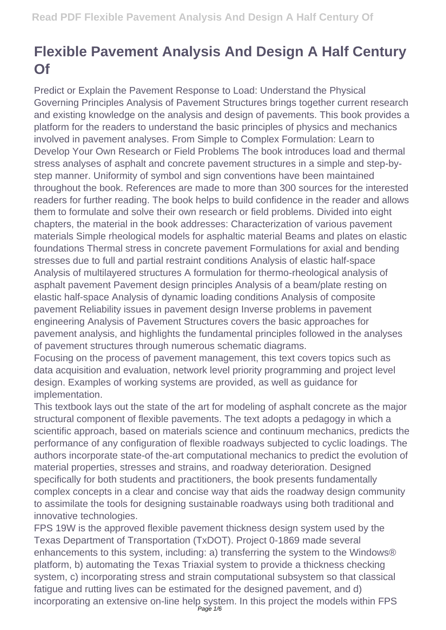## **Flexible Pavement Analysis And Design A Half Century Of**

Predict or Explain the Pavement Response to Load: Understand the Physical Governing Principles Analysis of Pavement Structures brings together current research and existing knowledge on the analysis and design of pavements. This book provides a platform for the readers to understand the basic principles of physics and mechanics involved in pavement analyses. From Simple to Complex Formulation: Learn to Develop Your Own Research or Field Problems The book introduces load and thermal stress analyses of asphalt and concrete pavement structures in a simple and step-bystep manner. Uniformity of symbol and sign conventions have been maintained throughout the book. References are made to more than 300 sources for the interested readers for further reading. The book helps to build confidence in the reader and allows them to formulate and solve their own research or field problems. Divided into eight chapters, the material in the book addresses: Characterization of various pavement materials Simple rheological models for asphaltic material Beams and plates on elastic foundations Thermal stress in concrete pavement Formulations for axial and bending stresses due to full and partial restraint conditions Analysis of elastic half-space Analysis of multilayered structures A formulation for thermo-rheological analysis of asphalt pavement Pavement design principles Analysis of a beam/plate resting on elastic half-space Analysis of dynamic loading conditions Analysis of composite pavement Reliability issues in pavement design Inverse problems in pavement engineering Analysis of Pavement Structures covers the basic approaches for pavement analysis, and highlights the fundamental principles followed in the analyses of pavement structures through numerous schematic diagrams.

Focusing on the process of pavement management, this text covers topics such as data acquisition and evaluation, network level priority programming and project level design. Examples of working systems are provided, as well as guidance for implementation.

This textbook lays out the state of the art for modeling of asphalt concrete as the major structural component of flexible pavements. The text adopts a pedagogy in which a scientific approach, based on materials science and continuum mechanics, predicts the performance of any configuration of flexible roadways subjected to cyclic loadings. The authors incorporate state-of the-art computational mechanics to predict the evolution of material properties, stresses and strains, and roadway deterioration. Designed specifically for both students and practitioners, the book presents fundamentally complex concepts in a clear and concise way that aids the roadway design community to assimilate the tools for designing sustainable roadways using both traditional and innovative technologies.

FPS 19W is the approved flexible pavement thickness design system used by the Texas Department of Transportation (TxDOT). Project 0-1869 made several enhancements to this system, including: a) transferring the system to the Windows® platform, b) automating the Texas Triaxial system to provide a thickness checking system, c) incorporating stress and strain computational subsystem so that classical fatigue and rutting lives can be estimated for the designed pavement, and d) incorporating an extensive on-line help system. In this project the models within FPS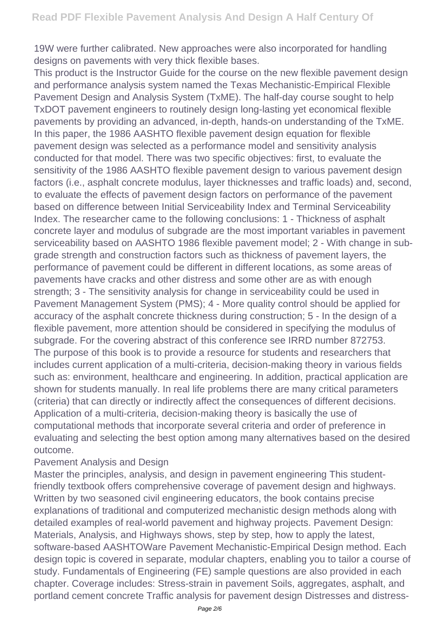19W were further calibrated. New approaches were also incorporated for handling designs on pavements with very thick flexible bases.

This product is the Instructor Guide for the course on the new flexible pavement design and performance analysis system named the Texas Mechanistic-Empirical Flexible Pavement Design and Analysis System (TxME). The half-day course sought to help TxDOT pavement engineers to routinely design long-lasting yet economical flexible pavements by providing an advanced, in-depth, hands-on understanding of the TxME. In this paper, the 1986 AASHTO flexible pavement design equation for flexible pavement design was selected as a performance model and sensitivity analysis conducted for that model. There was two specific objectives: first, to evaluate the sensitivity of the 1986 AASHTO flexible pavement design to various pavement design factors (i.e., asphalt concrete modulus, layer thicknesses and traffic loads) and, second, to evaluate the effects of pavement design factors on performance of the pavement based on difference between Initial Serviceability Index and Terminal Serviceability Index. The researcher came to the following conclusions: 1 - Thickness of asphalt concrete layer and modulus of subgrade are the most important variables in pavement serviceability based on AASHTO 1986 flexible pavement model; 2 - With change in subgrade strength and construction factors such as thickness of pavement layers, the performance of pavement could be different in different locations, as some areas of pavements have cracks and other distress and some other are as with enough strength; 3 - The sensitivity analysis for change in serviceability could be used in Pavement Management System (PMS); 4 - More quality control should be applied for accuracy of the asphalt concrete thickness during construction; 5 - In the design of a flexible pavement, more attention should be considered in specifying the modulus of subgrade. For the covering abstract of this conference see IRRD number 872753. The purpose of this book is to provide a resource for students and researchers that includes current application of a multi-criteria, decision-making theory in various fields such as: environment, healthcare and engineering. In addition, practical application are shown for students manually. In real life problems there are many critical parameters (criteria) that can directly or indirectly affect the consequences of different decisions. Application of a multi-criteria, decision-making theory is basically the use of computational methods that incorporate several criteria and order of preference in evaluating and selecting the best option among many alternatives based on the desired outcome.

## Pavement Analysis and Design

Master the principles, analysis, and design in pavement engineering This studentfriendly textbook offers comprehensive coverage of pavement design and highways. Written by two seasoned civil engineering educators, the book contains precise explanations of traditional and computerized mechanistic design methods along with detailed examples of real-world pavement and highway projects. Pavement Design: Materials, Analysis, and Highways shows, step by step, how to apply the latest, software-based AASHTOWare Pavement Mechanistic-Empirical Design method. Each design topic is covered in separate, modular chapters, enabling you to tailor a course of study. Fundamentals of Engineering (FE) sample questions are also provided in each chapter. Coverage includes: Stress-strain in pavement Soils, aggregates, asphalt, and portland cement concrete Traffic analysis for pavement design Distresses and distress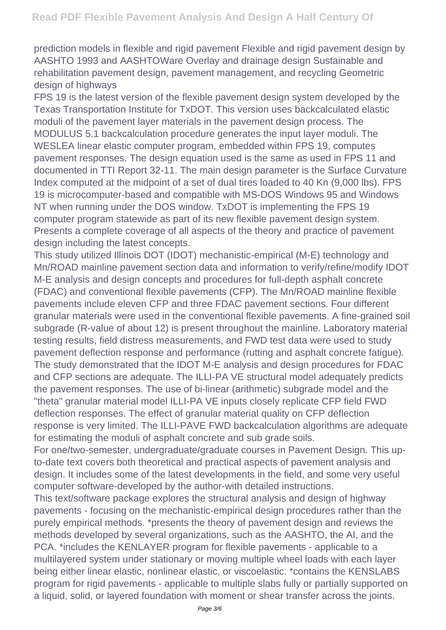prediction models in flexible and rigid pavement Flexible and rigid pavement design by AASHTO 1993 and AASHTOWare Overlay and drainage design Sustainable and rehabilitation pavement design, pavement management, and recycling Geometric design of highways

FPS 19 is the latest version of the flexible pavement design system developed by the Texas Transportation Institute for TxDOT. This version uses backcalculated elastic moduli of the pavement layer materials in the pavement design process. The MODULUS 5.1 backcalculation procedure generates the input layer moduli. The WESLEA linear elastic computer program, embedded within FPS 19, computes pavement responses. The design equation used is the same as used in FPS 11 and documented in TTI Report 32-11. The main design parameter is the Surface Curvature Index computed at the midpoint of a set of dual tires loaded to 40 Kn (9,000 lbs). FPS 19 is microcomputer-based and compatible with MS-DOS Windows 95 and Windows NT when running under the DOS window. TxDOT is implementing the FPS 19 computer program statewide as part of its new flexible pavement design system. Presents a complete coverage of all aspects of the theory and practice of pavement design including the latest concepts.

This study utilized Illinois DOT (IDOT) mechanistic-empirical (M-E) technology and Mn/ROAD mainline pavement section data and information to verify/refine/modify IDOT M-E analysis and design concepts and procedures for full-depth asphalt concrete (FDAC) and conventional flexible pavements (CFP). The Mn/ROAD mainline flexible pavements include eleven CFP and three FDAC pavement sections. Four different granular materials were used in the conventional flexible pavements. A fine-grained soil subgrade (R-value of about 12) is present throughout the mainline. Laboratory material testing results, field distress measurements, and FWD test data were used to study pavement deflection response and performance (rutting and asphalt concrete fatigue). The study demonstrated that the IDOT M-E analysis and design procedures for FDAC and CFP sections are adequate. The ILLI-PA VE structural model adequately predicts the pavement responses. The use of bi-linear (arithmetic) subgrade model and the "theta" granular material model ILLI-PA VE inputs closely replicate CFP field FWD deflection responses. The effect of granular material quality on CFP deflection response is very limited. The ILLI-PAVE FWD backcalculation algorithms are adequate for estimating the moduli of asphalt concrete and sub grade soils.

For one/two-semester, undergraduate/graduate courses in Pavement Design. This upto-date text covers both theoretical and practical aspects of pavement analysis and design. It includes some of the latest developments in the field, and some very useful computer software-developed by the author-with detailed instructions.

This text/software package explores the structural analysis and design of highway pavements - focusing on the mechanistic-empirical design procedures rather than the purely empirical methods. \*presents the theory of pavement design and reviews the methods developed by several organizations, such as the AASHTO, the AI, and the PCA. \*includes the KENLAYER program for flexible pavements - applicable to a multilayered system under stationary or moving multiple wheel loads with each layer being either linear elastic, nonlinear elastic, or viscoelastic. \*contains the KENSLABS program for rigid pavements - applicable to multiple slabs fully or partially supported on a liquid, solid, or layered foundation with moment or shear transfer across the joints.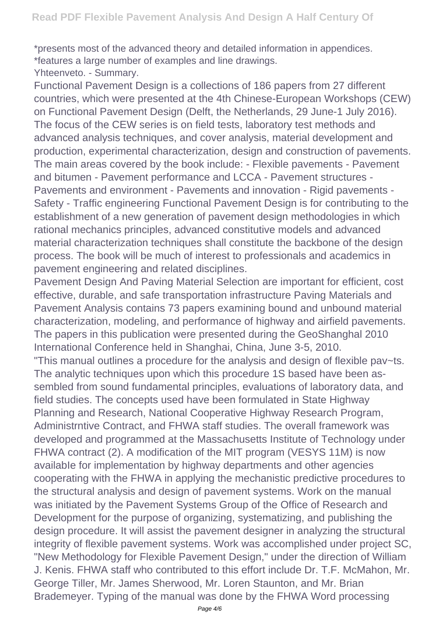\*presents most of the advanced theory and detailed information in appendices. \*features a large number of examples and line drawings.

Yhteenveto. - Summary.

Functional Pavement Design is a collections of 186 papers from 27 different countries, which were presented at the 4th Chinese-European Workshops (CEW) on Functional Pavement Design (Delft, the Netherlands, 29 June-1 July 2016). The focus of the CEW series is on field tests, laboratory test methods and advanced analysis techniques, and cover analysis, material development and production, experimental characterization, design and construction of pavements. The main areas covered by the book include: - Flexible pavements - Pavement and bitumen - Pavement performance and LCCA - Pavement structures - Pavements and environment - Pavements and innovation - Rigid pavements - Safety - Traffic engineering Functional Pavement Design is for contributing to the establishment of a new generation of pavement design methodologies in which rational mechanics principles, advanced constitutive models and advanced material characterization techniques shall constitute the backbone of the design process. The book will be much of interest to professionals and academics in pavement engineering and related disciplines.

Pavement Design And Paving Material Selection are important for efficient, cost effective, durable, and safe transportation infrastructure Paving Materials and Pavement Analysis contains 73 papers examining bound and unbound material characterization, modeling, and performance of highway and airfield pavements. The papers in this publication were presented during the GeoShanghal 2010 International Conference held in Shanghai, China, June 3-5, 2010.

"This manual outlines a procedure for the analysis and design of flexible pav~ts. The analytic techniques upon which this procedure 1S based have been assembled from sound fundamental principles, evaluations of laboratory data, and field studies. The concepts used have been formulated in State Highway Planning and Research, National Cooperative Highway Research Program, Administrntive Contract, and FHWA staff studies. The overall framework was developed and programmed at the Massachusetts Institute of Technology under FHWA contract (2). A modification of the MIT program (VESYS 11M) is now available for implementation by highway departments and other agencies cooperating with the FHWA in applying the mechanistic predictive procedures to the structural analysis and design of pavement systems. Work on the manual was initiated by the Pavement Systems Group of the Office of Research and Development for the purpose of organizing, systematizing, and publishing the design procedure. It will assist the pavement designer in analyzing the structural integrity of flexible pavement systems. Work was accomplished under project SC, "New Methodology for Flexible Pavement Design," under the direction of William J. Kenis. FHWA staff who contributed to this effort include Dr. T.F. McMahon, Mr. George Tiller, Mr. James Sherwood, Mr. Loren Staunton, and Mr. Brian Brademeyer. Typing of the manual was done by the FHWA Word processing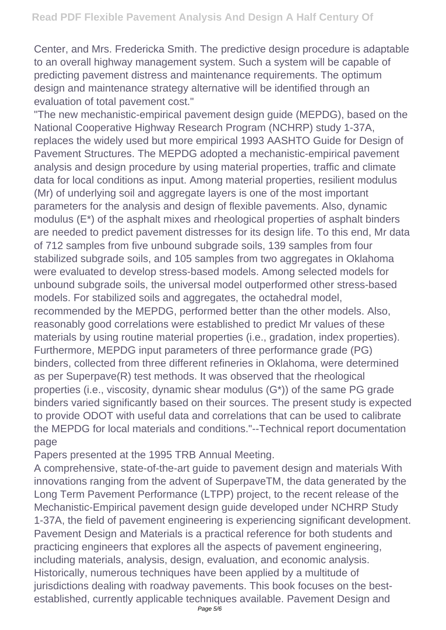Center, and Mrs. Fredericka Smith. The predictive design procedure is adaptable to an overall highway management system. Such a system will be capable of predicting pavement distress and maintenance requirements. The optimum design and maintenance strategy alternative will be identified through an evaluation of total pavement cost."

"The new mechanistic-empirical pavement design guide (MEPDG), based on the National Cooperative Highway Research Program (NCHRP) study 1-37A, replaces the widely used but more empirical 1993 AASHTO Guide for Design of Pavement Structures. The MEPDG adopted a mechanistic-empirical pavement analysis and design procedure by using material properties, traffic and climate data for local conditions as input. Among material properties, resilient modulus (Mr) of underlying soil and aggregate layers is one of the most important parameters for the analysis and design of flexible pavements. Also, dynamic modulus (E\*) of the asphalt mixes and rheological properties of asphalt binders are needed to predict pavement distresses for its design life. To this end, Mr data of 712 samples from five unbound subgrade soils, 139 samples from four stabilized subgrade soils, and 105 samples from two aggregates in Oklahoma were evaluated to develop stress-based models. Among selected models for unbound subgrade soils, the universal model outperformed other stress-based models. For stabilized soils and aggregates, the octahedral model, recommended by the MEPDG, performed better than the other models. Also, reasonably good correlations were established to predict Mr values of these materials by using routine material properties (i.e., gradation, index properties). Furthermore, MEPDG input parameters of three performance grade (PG) binders, collected from three different refineries in Oklahoma, were determined as per Superpave(R) test methods. It was observed that the rheological properties (i.e., viscosity, dynamic shear modulus (G\*)) of the same PG grade binders varied significantly based on their sources. The present study is expected to provide ODOT with useful data and correlations that can be used to calibrate the MEPDG for local materials and conditions."--Technical report documentation page

Papers presented at the 1995 TRB Annual Meeting.

A comprehensive, state-of-the-art guide to pavement design and materials With innovations ranging from the advent of SuperpaveTM, the data generated by the Long Term Pavement Performance (LTPP) project, to the recent release of the Mechanistic-Empirical pavement design guide developed under NCHRP Study 1-37A, the field of pavement engineering is experiencing significant development. Pavement Design and Materials is a practical reference for both students and practicing engineers that explores all the aspects of pavement engineering, including materials, analysis, design, evaluation, and economic analysis. Historically, numerous techniques have been applied by a multitude of jurisdictions dealing with roadway pavements. This book focuses on the bestestablished, currently applicable techniques available. Pavement Design and